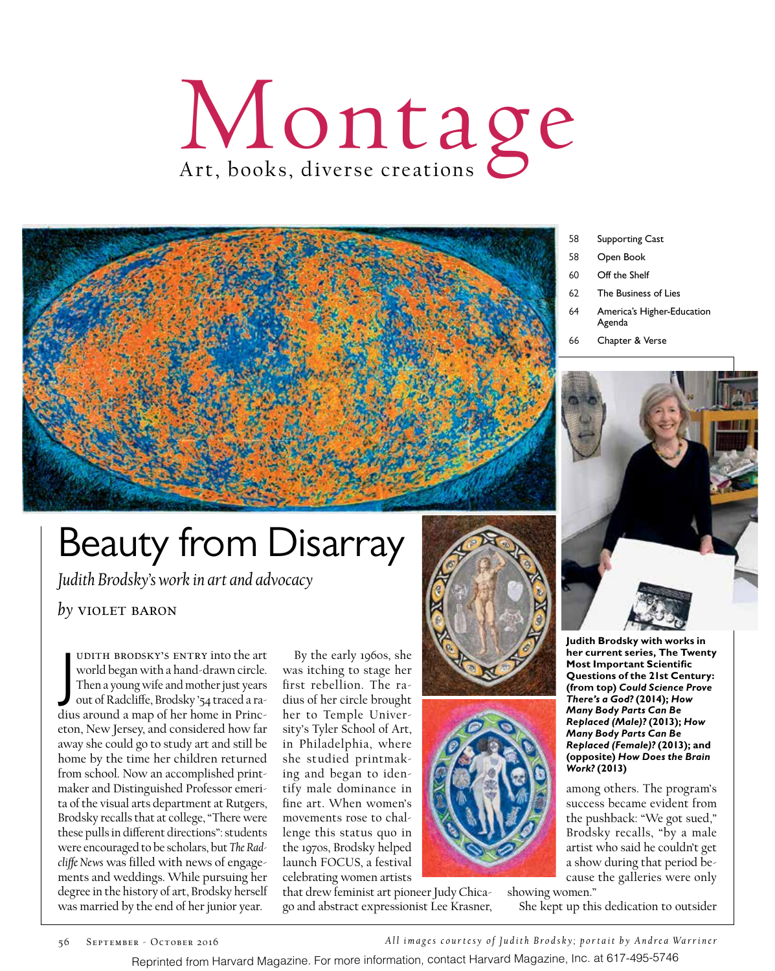

## Beauty from Disarray

*Judith Brodsky's work in art and advocacy*

*by* violet baron

J udith Brodsky's entry into the art world began with a hand-drawn circle. Then a young wife and mother just years out of Radcliffe, Brodsky '54 traced a radius around a map of her home in Princeton, New Jersey, and considered how far away she could go to study art and still be home by the time her children returned from school. Now an accomplished printmaker and Distinguished Professor emerita of the visual arts department at Rutgers, Brodsky recalls that at college, "There were these pulls in different directions": students were encouraged to be scholars, but *The Radcliffe News* was filled with news of engagements and weddings. While pursuing her degree in the history of art, Brodsky herself was married by the end of her junior year.

By the early 1960s, she was itching to stage her first rebellion. The radius of her circle brought her to Temple University's Tyler School of Art, in Philadelphia, where she studied printmaking and began to identify male dominance in fine art. When women's movements rose to challenge this status quo in the 1970s, Brodsky helped launch FOCUS, a festival celebrating women artists

that drew feminist art pioneer Judy Chicago and abstract expressionist Lee Krasner,



- 58 Open Book
- 60 Off the Shelf
- 62 The Business of Lies
- 64 America's Higher-Education Agenda
- 66 Chapter & Verse



**Judith Brodsky with works in her current series, The Twenty Most Important Scientific Questions of the 21st Century: (from top)** *Could Science Prove There's a God?* **(2014);** *How Many Body Parts Can Be Replaced (Male)?* **(2013);** *How Many Body Parts Can Be Replaced (Female)?* **(2013); and (opposite)** *How Does the Brain Work?* **(2013)**

among others. The program's success became evident from the pushback: "We got sued," Brodsky recalls, "by a male artist who said he couldn't get a show during that period because the galleries were only

showing women." She kept up this dedication to outsider

56 SEPTEMBER - OCTOBER 2016 **All images courtesy of Judith Brodsky**; portait by Andrea Warriner

Reprinted from Harvard Magazine. For more information, contact Harvard Magazine, Inc. at 617-495-5746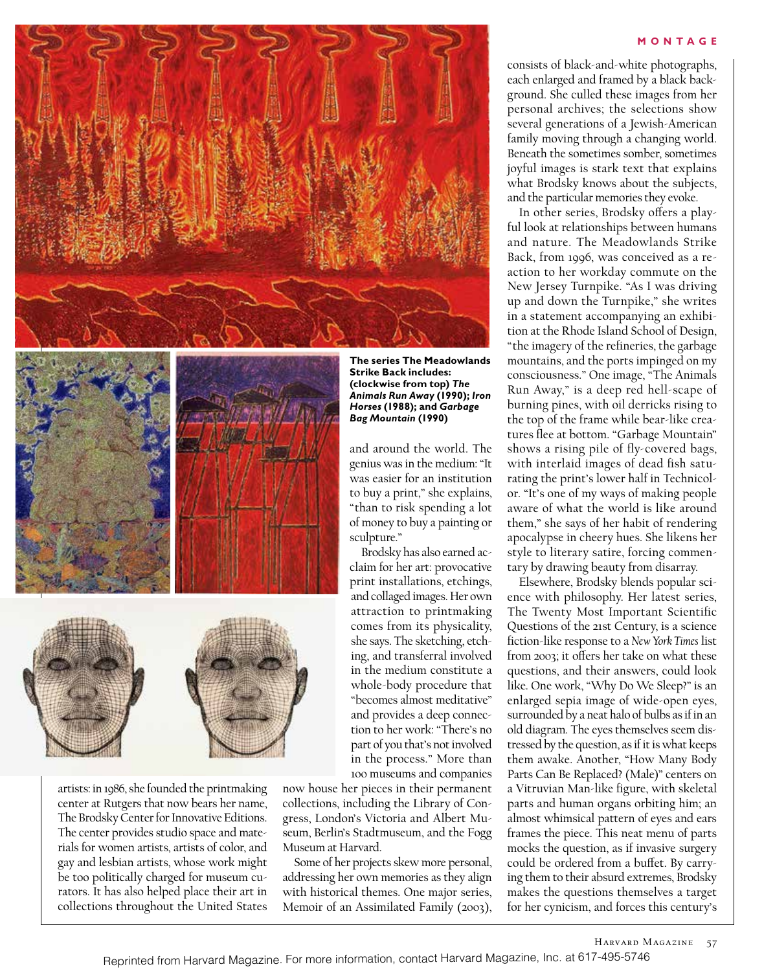



artists: in 1986, she founded the printmaking center at Rutgers that now bears her name, The Brodsky Center for Innovative Editions. The center provides studio space and materials for women artists, artists of color, and gay and lesbian artists, whose work might be too politically charged for museum curators. It has also helped place their art in collections throughout the United States

**The series The Meadowlands Strike Back includes: (clockwise from top)** *The Animals Run Away* **(1990);** *Iron Horses* **(1988); and** *Garbage Bag Mountain* **(1990)**

and around the world. The genius was in the medium: "It was easier for an institution to buy a print," she explains, "than to risk spending a lot of money to buy a painting or sculpture."

Brodsky has also earned acclaim for her art: provocative print installations, etchings, and collaged images. Her own attraction to printmaking comes from its physicality, she says. The sketching, etching, and transferral involved in the medium constitute a whole-body procedure that "becomes almost meditative" and provides a deep connection to her work: "There's no part of you that's not involved in the process." More than 100 museums and companies

now house her pieces in their permanent collections, including the Library of Congress, London's Victoria and Albert Museum, Berlin's Stadtmuseum, and the Fogg Museum at Harvard.

Some of her projects skew more personal, addressing her own memories as they align with historical themes. One major series, Memoir of an Assimilated Family (2003),

#### **MONTAGE**

consists of black-and-white photographs, each enlarged and framed by a black background. She culled these images from her personal archives; the selections show several generations of a Jewish-American family moving through a changing world. Beneath the sometimes somber, sometimes joyful images is stark text that explains what Brodsky knows about the subjects, and the particular memories they evoke.

In other series, Brodsky offers a playful look at relationships between humans and nature. The Meadowlands Strike Back, from 1996, was conceived as a reaction to her workday commute on the New Jersey Turnpike. "As I was driving up and down the Turnpike," she writes in a statement accompanying an exhibition at the Rhode Island School of Design, "the imagery of the refineries, the garbage mountains, and the ports impinged on my consciousness." One image, "The Animals Run Away," is a deep red hell-scape of burning pines, with oil derricks rising to the top of the frame while bear-like creatures flee at bottom. "Garbage Mountain" shows a rising pile of fly-covered bags, with interlaid images of dead fish saturating the print's lower half in Technicolor. "It's one of my ways of making people aware of what the world is like around them," she says of her habit of rendering apocalypse in cheery hues. She likens her style to literary satire, forcing commentary by drawing beauty from disarray.

Elsewhere, Brodsky blends popular science with philosophy. Her latest series, The Twenty Most Important Scientific Questions of the 21st Century, is a science fiction-like response to a *New York Times* list from 2003; it offers her take on what these questions, and their answers, could look like. One work, "Why Do We Sleep?" is an enlarged sepia image of wide-open eyes, surrounded by a neat halo of bulbs as if in an old diagram. The eyes themselves seem distressed by the question, as if it is what keeps them awake. Another, "How Many Body Parts Can Be Replaced? (Male)" centers on a Vitruvian Man-like figure, with skeletal parts and human organs orbiting him; an almost whimsical pattern of eyes and ears frames the piece. This neat menu of parts mocks the question, as if invasive surgery could be ordered from a buffet. By carrying them to their absurd extremes, Brodsky makes the questions themselves a target for her cynicism, and forces this century's